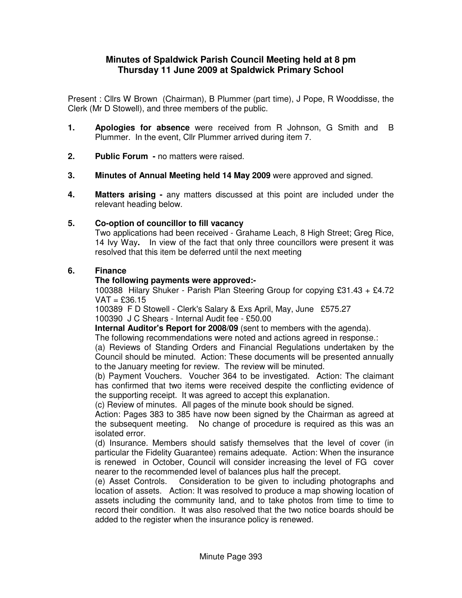# **Minutes of Spaldwick Parish Council Meeting held at 8 pm Thursday 11 June 2009 at Spaldwick Primary School**

Present : Cllrs W Brown (Chairman), B Plummer (part time), J Pope, R Wooddisse, the Clerk (Mr D Stowell), and three members of the public.

- **1. Apologies for absence** were received from R Johnson, G Smith and B Plummer. In the event, Cllr Plummer arrived during item 7.
- **2. Public Forum** no matters were raised.
- **3. Minutes of Annual Meeting held 14 May 2009** were approved and signed.
- **4. Matters arising** any matters discussed at this point are included under the relevant heading below.

# **5. Co-option of councillor to fill vacancy**

 Two applications had been received - Grahame Leach, 8 High Street; Greg Rice, 14 Ivy Way**.** In view of the fact that only three councillors were present it was resolved that this item be deferred until the next meeting

# **6. Finance**

# **The following payments were approved:-**

100388 Hilary Shuker - Parish Plan Steering Group for copying £31.43 + £4.72  $VAT = £36.15$ 

100389 F D Stowell - Clerk's Salary & Exs April, May, June £575.27 100390 J C Shears - Internal Audit fee - £50.00

**Internal Auditor's Report for 2008/09** (sent to members with the agenda).

The following recommendations were noted and actions agreed in response.:

(a) Reviews of Standing Orders and Financial Regulations undertaken by the Council should be minuted. Action: These documents will be presented annually to the January meeting for review. The review will be minuted.

(b) Payment Vouchers. Voucher 364 to be investigated. Action: The claimant has confirmed that two items were received despite the conflicting evidence of the supporting receipt. It was agreed to accept this explanation.

(c) Review of minutes. All pages of the minute book should be signed.

Action: Pages 383 to 385 have now been signed by the Chairman as agreed at the subsequent meeting. No change of procedure is required as this was an isolated error.

(d) Insurance. Members should satisfy themselves that the level of cover (in particular the Fidelity Guarantee) remains adequate. Action: When the insurance is renewed in October, Council will consider increasing the level of FG cover nearer to the recommended level of balances plus half the precept.

(e) Asset Controls. Consideration to be given to including photographs and location of assets. Action: It was resolved to produce a map showing location of assets including the community land, and to take photos from time to time to record their condition. It was also resolved that the two notice boards should be added to the register when the insurance policy is renewed.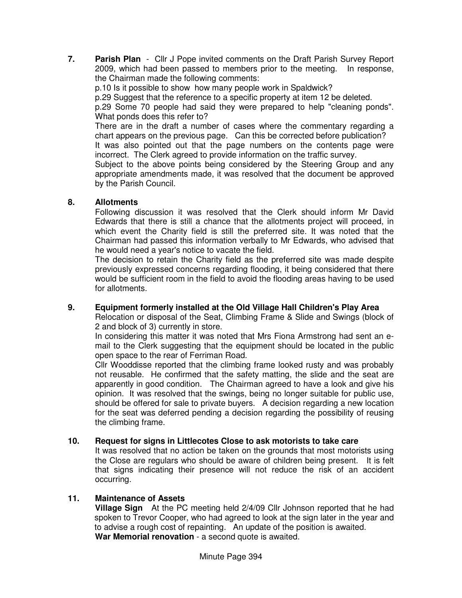**7. Parish Plan** - Cllr J Pope invited comments on the Draft Parish Survey Report 2009, which had been passed to members prior to the meeting. In response, the Chairman made the following comments:

p.10 Is it possible to show how many people work in Spaldwick?

p.29 Suggest that the reference to a specific property at item 12 be deleted.

p.29 Some 70 people had said they were prepared to help "cleaning ponds". What ponds does this refer to?

There are in the draft a number of cases where the commentary regarding a chart appears on the previous page. Can this be corrected before publication? It was also pointed out that the page numbers on the contents page were incorrect. The Clerk agreed to provide information on the traffic survey.

Subject to the above points being considered by the Steering Group and any appropriate amendments made, it was resolved that the document be approved by the Parish Council.

# **8. Allotments**

 Following discussion it was resolved that the Clerk should inform Mr David Edwards that there is still a chance that the allotments project will proceed, in which event the Charity field is still the preferred site. It was noted that the Chairman had passed this information verbally to Mr Edwards, who advised that he would need a year's notice to vacate the field.

The decision to retain the Charity field as the preferred site was made despite previously expressed concerns regarding flooding, it being considered that there would be sufficient room in the field to avoid the flooding areas having to be used for allotments.

# **9. Equipment formerly installed at the Old Village Hall Children's Play Area**

Relocation or disposal of the Seat, Climbing Frame & Slide and Swings (block of 2 and block of 3) currently in store.

In considering this matter it was noted that Mrs Fiona Armstrong had sent an email to the Clerk suggesting that the equipment should be located in the public open space to the rear of Ferriman Road.

Cllr Wooddisse reported that the climbing frame looked rusty and was probably not reusable. He confirmed that the safety matting, the slide and the seat are apparently in good condition. The Chairman agreed to have a look and give his opinion. It was resolved that the swings, being no longer suitable for public use, should be offered for sale to private buyers. A decision regarding a new location for the seat was deferred pending a decision regarding the possibility of reusing the climbing frame.

# **10. Request for signs in Littlecotes Close to ask motorists to take care**

 It was resolved that no action be taken on the grounds that most motorists using the Close are regulars who should be aware of children being present. It is felt that signs indicating their presence will not reduce the risk of an accident occurring.

# **11. Maintenance of Assets**

**Village Sign** At the PC meeting held 2/4/09 Cllr Johnson reported that he had spoken to Trevor Cooper, who had agreed to look at the sign later in the year and to advise a rough cost of repainting. An update of the position is awaited.  **War Memorial renovation** - a second quote is awaited.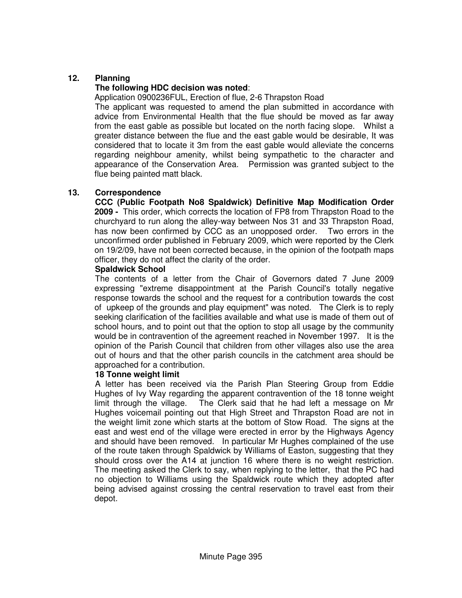# **12. Planning**

#### **The following HDC decision was noted**:

Application 0900236FUL, Erection of flue, 2-6 Thrapston Road

 The applicant was requested to amend the plan submitted in accordance with advice from Environmental Health that the flue should be moved as far away from the east gable as possible but located on the north facing slope. Whilst a greater distance between the flue and the east gable would be desirable, It was considered that to locate it 3m from the east gable would alleviate the concerns regarding neighbour amenity, whilst being sympathetic to the character and appearance of the Conservation Area. Permission was granted subject to the flue being painted matt black.

#### **13. Correspondence**

**CCC (Public Footpath No8 Spaldwick) Definitive Map Modification Order 2009 -** This order, which corrects the location of FP8 from Thrapston Road to the churchyard to run along the alley-way between Nos 31 and 33 Thrapston Road, has now been confirmed by CCC as an unopposed order. Two errors in the unconfirmed order published in February 2009, which were reported by the Clerk on 19/2/09, have not been corrected because, in the opinion of the footpath maps officer, they do not affect the clarity of the order.

#### **Spaldwick School**

The contents of a letter from the Chair of Governors dated 7 June 2009 expressing "extreme disappointment at the Parish Council's totally negative response towards the school and the request for a contribution towards the cost of upkeep of the grounds and play equipment" was noted. The Clerk is to reply seeking clarification of the facilities available and what use is made of them out of school hours, and to point out that the option to stop all usage by the community would be in contravention of the agreement reached in November 1997. It is the opinion of the Parish Council that children from other villages also use the area out of hours and that the other parish councils in the catchment area should be approached for a contribution.

#### **18 Tonne weight limit**

A letter has been received via the Parish Plan Steering Group from Eddie Hughes of Ivy Way regarding the apparent contravention of the 18 tonne weight limit through the village. The Clerk said that he had left a message on Mr Hughes voicemail pointing out that High Street and Thrapston Road are not in the weight limit zone which starts at the bottom of Stow Road. The signs at the east and west end of the village were erected in error by the Highways Agency and should have been removed. In particular Mr Hughes complained of the use of the route taken through Spaldwick by Williams of Easton, suggesting that they should cross over the A14 at junction 16 where there is no weight restriction. The meeting asked the Clerk to say, when replying to the letter, that the PC had no objection to Williams using the Spaldwick route which they adopted after being advised against crossing the central reservation to travel east from their depot.